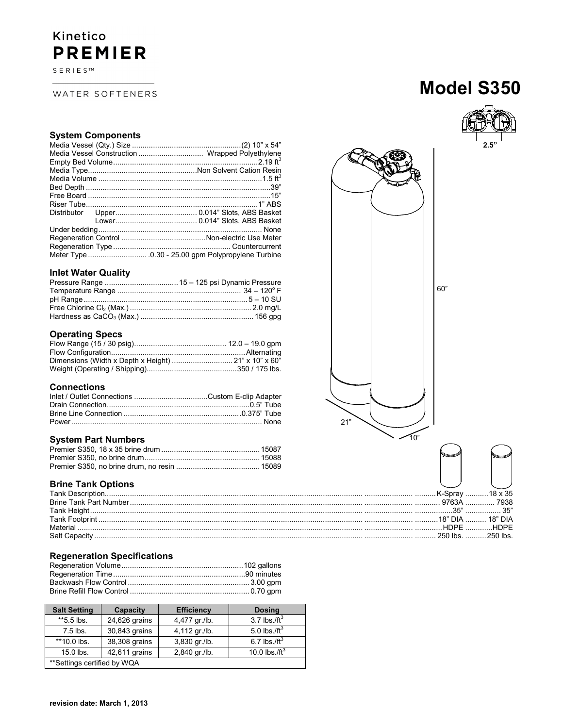# Kinetico **PREMIER**

 $\mathsf{S}\to\mathsf{R}\mathsf{I}\to\mathsf{S}\mathsf{I}^{\mathsf{M}}$ 

## WATER SOFTENERS

# **Model S350**



# **System Components**

# **Inlet Water Quality**

# **Operating Specs**

# **Connections**

# **System Part Numbers**

## **Brine Tank Options**

|               |         | 7938 |
|---------------|---------|------|
|               |         |      |
|               |         |      |
| Material      |         |      |
| Salt Canacity | 250 lbs |      |
|               |         |      |

# **Regeneration Specifications**

| <b>Salt Setting</b>         | Capacity      | <b>Efficiency</b> | <b>Dosing</b>    |
|-----------------------------|---------------|-------------------|------------------|
| **5.5 lbs.                  | 24,626 grains | 4,477 gr./lb.     | 3.7 lbs./ $ft^3$ |
| $7.5$ lbs.                  | 30,843 grains | 4,112 gr./lb.     | 5.0 lbs./ft $3$  |
| **10.0 lbs.                 | 38,308 grains | 3,830 gr./lb.     | 6.7 lbs./ft $3$  |
| 15.0 lbs.                   | 42,611 grains | 2,840 gr./lb.     | 10.0 lbs./ft $3$ |
| **Settings certified by WQA |               |                   |                  |